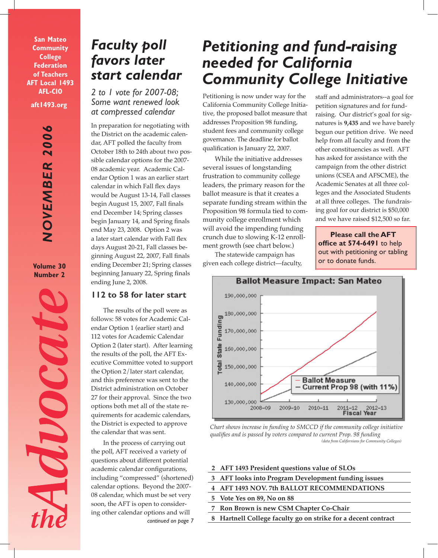**aft1493.org San Mateo Community College Federation of Teachers AFT Local 1493 AFL-CIO**

> **NOVEMBER 2006** *NOVEMBER 2006*

**Volume 30 Number 2**



# *Faculty poll favors later start calendar*

*2 to 1 vote for 2007-08; Some want renewed look at compressed calendar* 

In preparation for negotiating with the District on the academic calendar, AFT polled the faculty from October 18th to 24th about two possible calendar options for the 2007- 08 academic year. Academic Calendar Option 1 was an earlier start calendar in which Fall flex days would be August 13-14, Fall classes begin August 15, 2007, Fall finals end December 14; Spring classes begin January 14, and Spring finals end May 23, 2008. Option 2 was a later start calendar with Fall flex days August 20-21, Fall classes beginning August 22, 2007, Fall finals ending December 21; Spring classes beginning January 22, Spring finals ending June 2, 2008.

## **112 to 58 for later start**

The results of the poll were as follows: 58 votes for Academic Calendar Option 1 (earlier start) and 112 votes for Academic Calendar Option 2 (later start). After learning the results of the poll, the AFT Executive Committee voted to support the Option 2/later start calendar, and this preference was sent to the District administration on October 27 for their approval. Since the two options both met all of the state requirements for academic calendars, the District is expected to approve the calendar that was sent.

In the process of carrying out the poll, AFT received a variety of questions about different potential academic calendar configurations, including "compressed" (shortened) calendar options. Beyond the 2007- 08 calendar, which must be set very soon, the AFT is open to considering other calendar options and will *continued on page 7*

# *Petitioning and fund-raising needed for California Community College Initiative*

Petitioning is now under way for the California Community College Initiative, the proposed ballot measure that addresses Proposition 98 funding, student fees and community college governance. The deadline for ballot qualification is January 22, 2007.

While the initiative addresses several issues of longstanding frustration to community college leaders, the primary reason for the ballot measure is that it creates a separate funding stream within the Proposition 98 formula tied to community college enrollment which will avoid the impending funding crunch due to slowing K-12 enrollment growth (see chart below.)

The statewide campaign has given each college district—faculty,

staff and administrators--a goal for petition signatures and for fundraising. Our district's goal for signatures is **9,435** and we have barely begun our petition drive. We need help from all faculty and from the other constituencies as well. AFT has asked for assistance with the campaign from the other district unions (CSEA and AFSCME), the Academic Senates at all three colleges and the Associated Students at all three colleges. The fundraising goal for our district is \$50,000 and we have raised \$12,500 so far.

**Please call the AFT office at 574-6491** to help out with petitioning or tabling or to donate funds.



*Chart shows increase in funding to SMCCD if the community college initiative qualifies and is passed by voters compared to current Prop. 98 funding (data from Californians for Community Colleges)*

## **INSIDE THIS ISSUE**

- **2 AFT 1493 President questions value of SLOs**
- **3 AFT looks into Program Development funding issues**
- **4 AFT 1493 NOV. 7th BALLOT RECOMMENDATIONS**
- **5 Vote Yes on 89, No on 88**
	- **Ron Brown is new CSM Chapter Co-Chair**
- **8 Hartnell College faculty go on strike for a decent contract**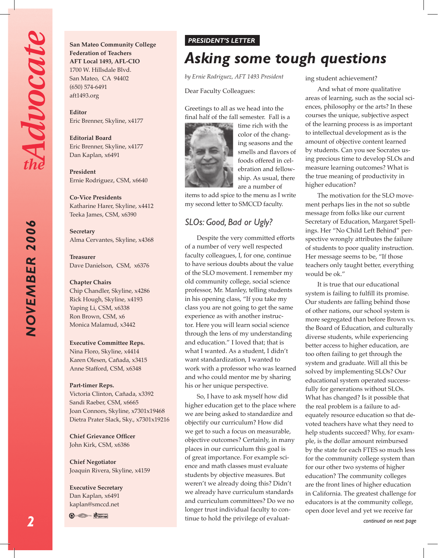*NOVEMBER 2006*

NOVEMBER 2006

**San Mateo Community College Federation of Teachers AFT Local 1493, AFL-CIO** 1700 W. Hillsdale Blvd. San Mateo, CA 94402 (650) 574-6491 aft1493.org

**Editor**  Eric Brenner, Skyline, x4177

**Editorial Board** Eric Brenner, Skyline, x4177 Dan Kaplan, x6491

**President**  Ernie Rodriguez, CSM, x6640

**Co-Vice Presidents** Katharine Harer, Skyline, x4412 Teeka James, CSM, x6390

**Secretary** Alma Cervantes, Skyline, x4368

**Treasurer** Dave Danielson, CSM, x6376

**Chapter Chairs** Chip Chandler, Skyline, x4286 Rick Hough, Skyline, x4193 Yaping Li, CSM, x6338 Ron Brown, CSM, x6 Monica Malamud, x3442

#### **Executive Committee Reps.**

Nina Floro, Skyline, x4414 Karen Olesen, Cañada, x3415 Anne Stafford, CSM, x6348

#### **Part-timer Reps.**

Victoria Clinton, Cañada, x3392 Sandi Raeber, CSM, x6665 Joan Connors, Skyline, x7301x19468 Dietra Prater Slack, Sky., x7301x19216

**Chief Grievance Officer** John Kirk, CSM, x6386

**Chief Negotiator** Joaquin Rivera, Skyline, x4159

**Executive Secretary** Dan Kaplan, x6491 kaplan@smccd.net

**B** Soving

#### *PRESIDENT'S LETTER*

# *Asking some tough questions*

*by Ernie Rodriguez, AFT 1493 President*

Dear Faculty Colleagues:

Greetings to all as we head into the final half of the fall semester. Fall is a



time rich with the color of the changing seasons and the smells and flavors of foods offered in celebration and fellowship. As usual, there are a number of

items to add spice to the menu as I write my second letter to SMCCD faculty.

## *SLOs: Good, Bad or Ugly?*

Despite the very committed efforts of a number of very well respected faculty colleagues, I, for one, continue to have serious doubts about the value of the SLO movement. I remember my old community college, social science professor, Mr. Manley, telling students in his opening class, "If you take my class you are not going to get the same experience as with another instructor. Here you will learn social science through the lens of my understanding and education." I loved that; that is what I wanted. As a student, I didn't want standardization, I wanted to work with a professor who was learned and who could mentor me by sharing his or her unique perspective.

So, I have to ask myself how did higher education get to the place where we are being asked to standardize and objectify our curriculum? How did we get to such a focus on measurable, objective outcomes? Certainly, in many places in our curriculum this goal is of great importance. For example science and math classes must evaluate students by objective measures. But weren't we already doing this? Didn't we already have curriculum standards and curriculum committees? Do we no longer trust individual faculty to continue to hold the privilege of evaluating student achievement?

And what of more qualitative areas of learning, such as the social sciences, philosophy or the arts? In these courses the unique, subjective aspect of the learning process is as important to intellectual development as is the amount of objective content learned by students. Can you see Socrates using precious time to develop SLOs and measure learning outcomes? What is the true meaning of productivity in higher education?

The motivation for the SLO movement perhaps lies in the not so subtle message from folks like our current Secretary of Education, Margaret Spellings. Her "No Child Left Behind" perspective wrongly attributes the failure of students to poor quality instruction. Her message seems to be, "If those teachers only taught better, everything would be ok."

It is true that our educational system is failing to fulfill its promise. Our students are falling behind those of other nations, our school system is more segregated than before Brown vs. the Board of Education, and culturally diverse students, while experiencing better access to higher education, are too often failing to get through the system and graduate. Will all this be solved by implementing SLOs? Our educational system operated successfully for generations without SLOs. What has changed? Is it possible that the real problem is a failure to adequately resource education so that devoted teachers have what they need to help students succeed? Why, for example, is the dollar amount reimbursed by the state for each FTES so much less for the community college system than for our other two systems of higher education? The community colleges are the front lines of higher education in California. The greatest challenge for educators is at the community college, open door level and yet we receive far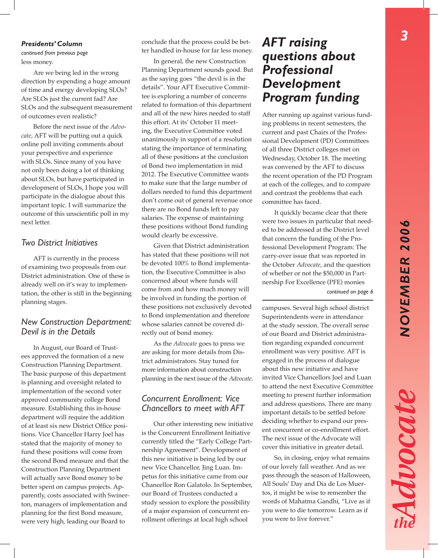#### *Presidents' Column*

*continued from previous page* less money.

Are we being led in the wrong direction by expending a huge amount of time and energy developing SLOs? Are SLOs just the current fad? Are SLOs and the subsequent measurement of outcomes even realistic?

Before the next issue of the *Advocate*, AFT will be putting out a quick online poll inviting comments about your perspective and experience with SLOs. Since many of you have not only been doing a lot of thinking about SLOs, but have participated in development of SLOs, I hope you will participate in the dialogue about this important topic. I will summarize the outcome of this unscientific poll in my next letter.

#### *Two District Initiatives*

AFT is currently in the process of examining two proposals from our District administration. One of these is already well on it's way to implementation, the other is still in the beginning planning stages.

## *New Construction Department: Devil is in the Details*

In August, our Board of Trustees approved the formation of a new Construction Planning Department. The basic purpose of this department is planning and oversight related to implementation of the second voter approved community college Bond measure. Establishing this in-house department will require the addition of at least six new District Office positions. Vice Chancellor Harry Joel has stated that the majority of money to fund these positions will come from the second Bond measure and that the Construction Planning Department will actually save Bond money to be better spent on campus projects. Apparently, costs associated with Swinerton, managers of implementation and planning for the first Bond measure, were very high, leading our Board to

conclude that the process could be better handled in-house for far less money.

In general, the new Construction Planning Department sounds good. But as the saying goes "the devil is in the details". Your AFT Executive Committee is exploring a number of concerns related to formation of this department and all of the new hires needed to staff this effort. At its' October 11 meeting, the Executive Committee voted unanimously in support of a resolution stating the importance of terminating all of these positions at the conclusion of Bond two implementation in mid 2012. The Executive Committee wants to make sure that the large number of dollars needed to fund this department don't come out of general revenue once there are no Bond funds left to pay salaries. The expense of maintaining these positions without Bond funding would clearly be excessive.

Given that District administration has stated that these positions will not be devoted 100% to Bond implementation, the Executive Committee is also concerned about where funds will come from and how much money will be involved in funding the portion of these positions not exclusively devoted to Bond implementation and therefore whose salaries cannot be covered directly out of bond money.

As the *Advocate* goes to press we are asking for more details from District administrators. Stay tuned for more information about construction planning in the next issue of the *Advocate*.

## *Concurrent Enrollment: Vice Chancellors to meet with AFT*

Our other interesting new initiative is the Concurrent Enrollment Initiative currently titled the "Early College Partnership Agreement". Development of this new initiative is being led by our new Vice Chancellor, Jing Luan. Impetus for this initiative came from our Chancellor Ron Galatolo. In September, our Board of Trustees conducted a study session to explore the possibility of a major expansion of concurrent enrollment offerings at local high school

# *AFT raising questions about Professional Development Program funding*

After running up against various funding problems in recent semesters, the current and past Chairs of the Professional Development (PD) Committees of all three District colleges met on Wednesday, October 18. The meeting was convened by the AFT to discuss the recent operation of the PD Program at each of the colleges, and to compare and contrast the problems that each committee has faced.

It quickly became clear that there were two issues in particular that needed to be addressed at the District level that concern the funding of the Professional Development Program: The carry-over issue that was reported in the October *Advocate*, and the question of whether or not the \$50,000 in Partnership For Excellence (PFE) monies

*continued on page 6*

campuses. Several high school district Superintendents were in attendance at the study session. The overall sense of our Board and District administration regarding expanded concurrent enrollment was very positive. AFT is engaged in the process of dialogue about this new initiative and have invited Vice Chancellors Joel and Luan to attend the next Executive Committee meeting to present further information and address questions. There are many important details to be settled before deciding whether to expand our present concurrent or co-enrollment effort. The next issue of the Advocate will cover this initiative in greater detail.

So, in closing, enjoy what remains of our lovely fall weather. And as we pass through the season of Halloween, All Souls' Day and Dia de Los Muertos, it might be wise to remember the words of Mahatma Gandhi, "Live as if you were to die tomorrow. Learn as if you were to live forever."

Advocate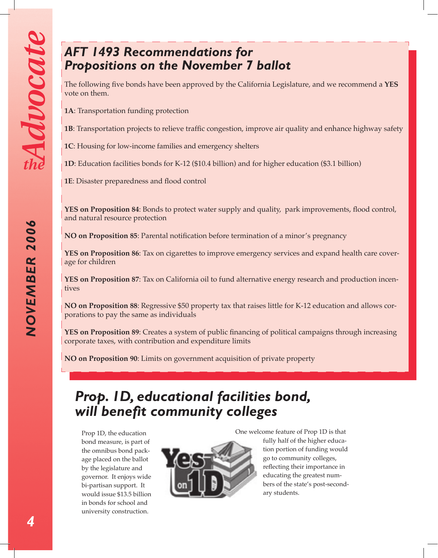*NOVEMBER 2006*

NOVEMBER 2006

# *AFT 1493 Recommendations for Propositions on the November 7 ballot*

The following five bonds have been approved by the California Legislature, and we recommend a **YES** vote on them.

**1A**: Transportation funding protection

**1B**: Transportation projects to relieve traffic congestion, improve air quality and enhance highway safety

**1C**: Housing for low-income families and emergency shelters

**1D**: Education facilities bonds for K-12 (\$10.4 billion) and for higher education (\$3.1 billion)

**1E**: Disaster preparedness and flood control

**YES on Proposition 84**: Bonds to protect water supply and quality, park improvements, flood control, and natural resource protection

**NO on Proposition 85**: Parental notification before termination of a minor's pregnancy

**YES on Proposition 86**: Tax on cigarettes to improve emergency services and expand health care coverage for children

**YES on Proposition 87**: Tax on California oil to fund alternative energy research and production incentives

**NO on Proposition 88**: Regressive \$50 property tax that raises little for K-12 education and allows corporations to pay the same as individuals

**YES on Proposition 89**: Creates a system of public financing of political campaigns through increasing corporate taxes, with contribution and expenditure limits

**NO on Proposition 90**: Limits on government acquisition of private property

# *Prop. 1D, educational facilities bond, will benefit community colleges*

Prop 1D, the education bond measure, is part of the omnibus bond package placed on the ballot by the legislature and governor. It enjoys wide bi-partisan support. It would issue \$13.5 billion in bonds for school and university construction.



One welcome feature of Prop 1D is that fully half of the higher education portion of funding would go to community colleges, reflecting their importance in educating the greatest numbers of the state's post-secondary students.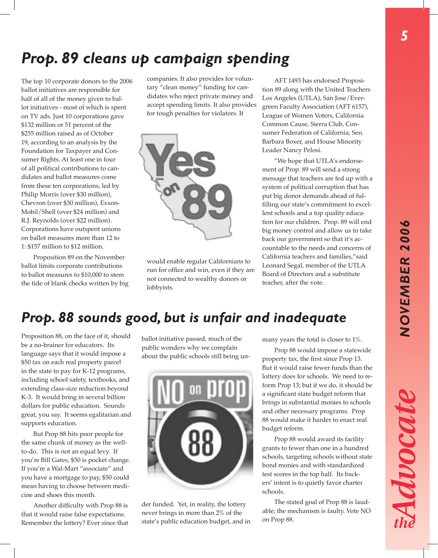# *Prop. 89 cleans up campaign spending*

The top 10 corporate donors to the 2006 ballot initiatives are responsible for half of all of the money given to ballot initiatives - most of which is spent on TV ads. Just 10 corporations gave \$132 million or 51 percent of the \$255 million raised as of October 19, according to an analysis by the Foundation for Taxpayer and Consumer Rights. At least one in four of all political contributions to candidates and ballot measures come from these ten corporations, led by Philip Morris (over \$30 million), Chevron (over \$30 million), Exxon-Mobil/Shell (over \$24 million) and R.J. Reynolds (over \$22 million). Corporations have outspent unions on ballot measures more than 12 to 1: \$157 million to \$12 million.

Proposition 89 on the November ballot limits corporate contributions to ballot measures to \$10,000 to stem the tide of blank checks written by big companies. It also provides for voluntary "clean money" funding for candidates who reject private money and accept spending limits. It also provides for tough penalties for violators. It



would enable regular Californians to run for office and win, even if they are not connected to wealthy donors or lobbyists.

AFT 1493 has endorsed Proposition 89 along with the United Teachers Los Angeles (UTLA), San Jose/Evergreen Faculty Association (AFT 6157), League of Women Voters, California Common Cause, Sierra Club, Consumer Federation of California, Sen. Barbara Boxer, and House Minority Leader Nancy Pelosi.

"We hope that UTLA's endorsement of Prop. 89 will send a strong message that teachers are fed up with a system of political corruption that has put big donor demands ahead of fulfilling our state's commitment to excellent schools and a top quality education for our children. Prop. 89 will end big money control and allow us to take back our government so that it's accountable to the needs and concerns of California teachers and families,"said Leonard Segal, member of the UTLA Board of Directors and a substitute teacher, after the vote.

# *Prop. 88 sounds good, but is unfair and inadequate*

Proposition 88, on the face of it, should be a no-brainer for educators. Its language says that it would impose a \$50 tax on each real property parcel in the state to pay for K-12 programs, including school safety, textbooks, and extending class-size reduction beyond K-3. It would bring in several billion dollars for public education. Sounds great, you say. It seems egalitarian and supports education.

But Prop 88 hits poor people for the same chunk of money as the wellto-do. This is not an equal levy. If you're Bill Gates, \$50 is pocket change. If you're a Wal-Mart "associate" and you have a mortgage to pay, \$50 could mean having to choose between medicine and shoes this month.

Another difficulty with Prop 88 is that it would raise false expectations. Remember the lottery? Ever since that ballot initiative passed, much of the public wonders why we complain about the public schools still being un-



der funded. Yet, in reality, the lottery never brings in more than 2% of the state's public education budget, and in many years the total is closer to 1%.

Prop 88 would impose a statewide property tax, the first since Prop 13. But it would raise fewer funds than the lottery does for schools. We need to reform Prop 13; but if we do, it should be a significant state budget reform that brings in substantial monies to schools and other necessary programs. Prop 88 would make it harder to enact real budget reform.

Prop 88 would award its facility grants to fewer than one in a hundred schools, targeting schools without state bond monies and with standardized test scores in the top half. Its backers' intent is to quietly favor charter schools.

The stated goal of Prop 88 is laudable; the mechanism is faulty. Vote NO on Prop 88.

Advocat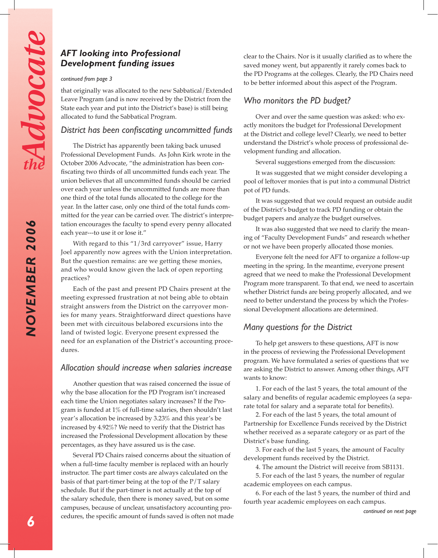## *AFT looking into Professional Development funding issues*

#### *continued from page 3*

that originally was allocated to the new Sabbatical/Extended Leave Program (and is now received by the District from the State each year and put into the District's base) is still being allocated to fund the Sabbatical Program.

## *District has been confiscating uncommitted funds*

The District has apparently been taking back unused Professional Development Funds. As John Kirk wrote in the October 2006 Advocate, "the administration has been confiscating two thirds of all uncommitted funds each year. The union believes that all uncommitted funds should be carried over each year unless the uncommitted funds are more than one third of the total funds allocated to the college for the year. In the latter case, only one third of the total funds committed for the year can be carried over. The district's interpretation encourages the faculty to spend every penny allocated each year---to use it or lose it."

With regard to this "1/3rd carryover" issue, Harry Joel apparently now agrees with the Union interpretation. But the question remains: are we getting these monies, and who would know given the lack of open reporting practices?

Each of the past and present PD Chairs present at the meeting expressed frustration at not being able to obtain straight answers from the District on the carryover monies for many years. Straightforward direct questions have been met with circuitous belabored excursions into the land of twisted logic. Everyone present expressed the need for an explanation of the District's accounting procedures.

## *Allocation should increase when salaries increase*

Another question that was raised concerned the issue of why the base allocation for the PD Program isn't increased each time the Union negotiates salary increases? If the Program is funded at 1% of full-time salaries, then shouldn't last year's allocation be increased by 3.23% and this year's be increased by 4.92%? We need to verify that the District has increased the Professional Development allocation by these percentages, as they have assured us is the case.

Several PD Chairs raised concerns about the situation of when a full-time faculty member is replaced with an hourly instructor. The part timer costs are always calculated on the basis of that part-timer being at the top of the P/T salary schedule. But if the part-timer is not actually at the top of the salary schedule, then there is money saved, but on some campuses, because of unclear, unsatisfactory accounting procedures, the specific amount of funds saved is often not made clear to the Chairs. Nor is it usually clarified as to where the saved money went, but apparently it rarely comes back to the PD Programs at the colleges. Clearly, the PD Chairs need to be better informed about this aspect of the Program.

## *Who monitors the PD budget?*

Over and over the same question was asked: who exactly monitors the budget for Professional Development at the District and college level? Clearly, we need to better understand the District's whole process of professional development funding and allocation.

Several suggestions emerged from the discussion:

It was suggested that we might consider developing a pool of leftover monies that is put into a communal District pot of PD funds.

It was suggested that we could request an outside audit of the District's budget to track PD funding or obtain the budget papers and analyze the budget ourselves.

It was also suggested that we need to clarify the meaning of "Faculty Development Funds" and research whether or not we have been properly allocated those monies.

Everyone felt the need for AFT to organize a follow-up meeting in the spring. In the meantime, everyone present agreed that we need to make the Professional Development Program more transparent. To that end, we need to ascertain whether District funds are being properly allocated, and we need to better understand the process by which the Professional Development allocations are determined.

## *Many questions for the District*

To help get answers to these questions, AFT is now in the process of reviewing the Professional Development program. We have formulated a series of questions that we are asking the District to answer. Among other things, AFT wants to know:

1. For each of the last 5 years, the total amount of the salary and benefits of regular academic employees (a separate total for salary and a separate total for benefits).

2. For each of the last 5 years, the total amount of Partnership for Excellence Funds received by the District whether received as a separate category or as part of the District's base funding.

3. For each of the last 5 years, the amount of Faculty development funds received by the District.

4. The amount the District will receive from SB1131.

5. For each of the last 5 years, the number of regular academic employees on each campus.

6. For each of the last 5 years, the number of third and fourth year academic employees on each campus.

*NOVEMBER 2006*

**NOVEMBER 2006**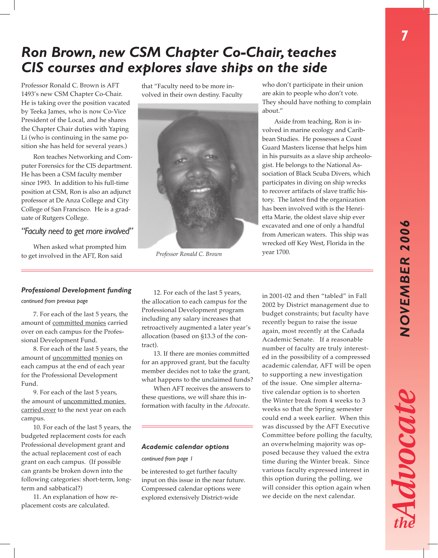# *NOVEMBER 2006* **NOVEMBER 2006**

Avocat

# *Ron Brown, new CSM Chapter Co-Chair, teaches CIS courses and explores slave ships on the side*

Professor Ronald C. Brown is AFT 1493's new CSM Chapter Co-Chair. He is taking over the position vacated by Teeka James, who is now Co-Vice President of the Local, and he shares the Chapter Chair duties with Yaping Li (who is continuing in the same position she has held for several years.)

Ron teaches Networking and Computer Forensics for the CIS department. He has been a CSM faculty member since 1993. In addition to his full-time position at CSM, Ron is also an adjunct professor at De Anza College and City College of San Francisco. He is a graduate of Rutgers College.

## *"Faculty need to get more involved"*

When asked what prompted him to get involved in the AFT, Ron said

that "Faculty need to be more involved in their own destiny. Faculty



year 1700. *Professor Ronald C. Brown*

who don't participate in their union are akin to people who don't vote. They should have nothing to complain about."

Aside from teaching, Ron is involved in marine ecology and Caribbean Studies. He possesses a Coast Guard Masters license that helps him in his pursuits as a slave ship archeologist. He belongs to the National Association of Black Scuba Divers, which participates in diving on ship wrecks to recover artifacts of slave traffic history. The latest find the organization has been involved with is the Henrietta Marie, the oldest slave ship ever excavated and one of only a handful from American waters. This ship was wrecked off Key West, Florida in the

#### *Professional Development funding*

#### *continued from previous page*

7. For each of the last 5 years, the amount of committed monies carried over on each campus for the Professional Development Fund.

8. For each of the last 5 years, the amount of uncommitted monies on each campus at the end of each year for the Professional Development Fund.

9. For each of the last 5 years, the amount of uncommitted monies carried over to the next year on each campus.

10. For each of the last 5 years, the budgeted replacement costs for each Professional development grant and the actual replacement cost of each grant on each campus. (If possible can grants be broken down into the following categories: short-term, longterm and sabbatical?)

11. An explanation of how replacement costs are calculated.

12. For each of the last 5 years, the allocation to each campus for the Professional Development program including any salary increases that retroactively augmented a later year's allocation (based on §13.3 of the contract).

13. If there are monies committed for an approved grant, but the faculty member decides not to take the grant, what happens to the unclaimed funds?

When AFT receives the answers to these questions, we will share this information with faculty in the *Advocate*.

#### *Academic calendar options*

#### *continued from page 1*

be interested to get further faculty input on this issue in the near future. Compressed calendar options were explored extensively District-wide

in 2001-02 and then "tabled" in Fall 2002 by District management due to budget constraints; but faculty have recently begun to raise the issue again, most recently at the Cañada Academic Senate. If a reasonable number of faculty are truly interested in the possibility of a compressed academic calendar, AFT will be open to supporting a new investigation of the issue. One simpler alternative calendar option is to shorten the Winter break from 4 weeks to 3 weeks so that the Spring semester could end a week earlier. When this was discussed by the AFT Executive Committee before polling the faculty, an overwhelming majority was opposed because they valued the extra time during the Winter break. Since various faculty expressed interest in this option during the polling, we will consider this option again when we decide on the next calendar.